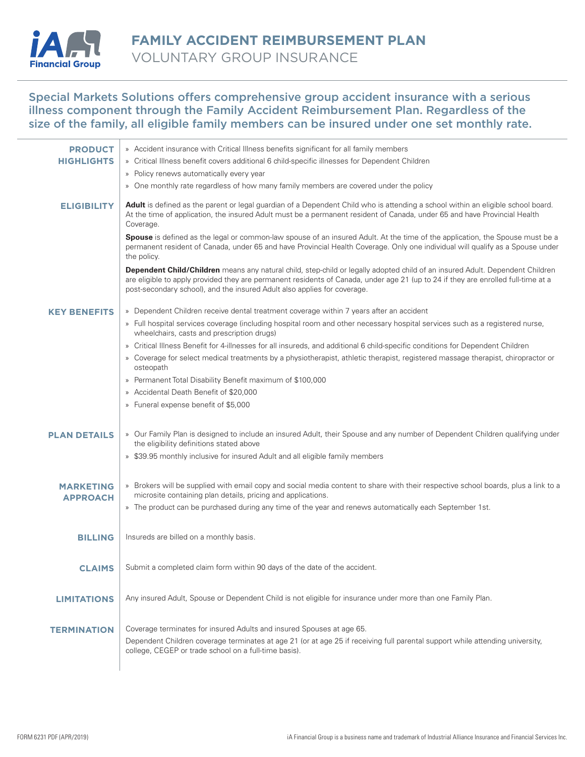

## Special Markets Solutions offers comprehensive group accident insurance with a serious illness component through the Family Accident Reimbursement Plan. Regardless of the size of the family, all eligible family members can be insured under one set monthly rate.

| <b>PRODUCT</b>      | » Accident insurance with Critical Illness benefits significant for all family members                                                                                                                                                                                                                                                         |
|---------------------|------------------------------------------------------------------------------------------------------------------------------------------------------------------------------------------------------------------------------------------------------------------------------------------------------------------------------------------------|
| <b>HIGHLIGHTS</b>   | » Critical IIIness benefit covers additional 6 child-specific iIInesses for Dependent Children                                                                                                                                                                                                                                                 |
|                     | » Policy renews automatically every year                                                                                                                                                                                                                                                                                                       |
|                     | » One monthly rate regardless of how many family members are covered under the policy                                                                                                                                                                                                                                                          |
| <b>ELIGIBILITY</b>  | Adult is defined as the parent or legal guardian of a Dependent Child who is attending a school within an eligible school board.<br>At the time of application, the insured Adult must be a permanent resident of Canada, under 65 and have Provincial Health<br>Coverage.                                                                     |
|                     | <b>Spouse</b> is defined as the legal or common-law spouse of an insured Adult. At the time of the application, the Spouse must be a<br>permanent resident of Canada, under 65 and have Provincial Health Coverage. Only one individual will qualify as a Spouse under<br>the policy.                                                          |
|                     | Dependent Child/Children means any natural child, step-child or legally adopted child of an insured Adult. Dependent Children<br>are eligible to apply provided they are permanent residents of Canada, under age 21 (up to 24 if they are enrolled full-time at a<br>post-secondary school), and the insured Adult also applies for coverage. |
| <b>KEY BENEFITS</b> | » Dependent Children receive dental treatment coverage within 7 years after an accident                                                                                                                                                                                                                                                        |
|                     | » Full hospital services coverage (including hospital room and other necessary hospital services such as a registered nurse,<br>wheelchairs, casts and prescription drugs)                                                                                                                                                                     |
|                     | » Critical Illness Benefit for 4-illnesses for all insureds, and additional 6 child-specific conditions for Dependent Children                                                                                                                                                                                                                 |
|                     | » Coverage for select medical treatments by a physiotherapist, athletic therapist, registered massage therapist, chiropractor or<br>osteopath                                                                                                                                                                                                  |
|                     | » Permanent Total Disability Benefit maximum of \$100,000                                                                                                                                                                                                                                                                                      |
|                     | » Accidental Death Benefit of \$20,000                                                                                                                                                                                                                                                                                                         |
|                     | » Funeral expense benefit of \$5,000                                                                                                                                                                                                                                                                                                           |
| <b>PLAN DETAILS</b> | » Our Family Plan is designed to include an insured Adult, their Spouse and any number of Dependent Children qualifying under<br>the eligibility definitions stated above                                                                                                                                                                      |
|                     | » \$39.95 monthly inclusive for insured Adult and all eligible family members                                                                                                                                                                                                                                                                  |
|                     |                                                                                                                                                                                                                                                                                                                                                |
| <b>MARKETING</b>    | » Brokers will be supplied with email copy and social media content to share with their respective school boards, plus a link to a<br>microsite containing plan details, pricing and applications.                                                                                                                                             |
| <b>APPROACH</b>     | » The product can be purchased during any time of the year and renews automatically each September 1st.                                                                                                                                                                                                                                        |
|                     |                                                                                                                                                                                                                                                                                                                                                |
| <b>BILLING</b>      | Insureds are billed on a monthly basis.                                                                                                                                                                                                                                                                                                        |
|                     |                                                                                                                                                                                                                                                                                                                                                |
|                     | CLAIMS   Submit a completed claim form within 90 days of the date of the accident.                                                                                                                                                                                                                                                             |
|                     |                                                                                                                                                                                                                                                                                                                                                |
| <b>LIMITATIONS</b>  | Any insured Adult, Spouse or Dependent Child is not eligible for insurance under more than one Family Plan.                                                                                                                                                                                                                                    |
|                     |                                                                                                                                                                                                                                                                                                                                                |
| <b>TERMINATION</b>  | Coverage terminates for insured Adults and insured Spouses at age 65.<br>Dependent Children coverage terminates at age 21 (or at age 25 if receiving full parental support while attending university,                                                                                                                                         |
|                     | college, CEGEP or trade school on a full-time basis).                                                                                                                                                                                                                                                                                          |